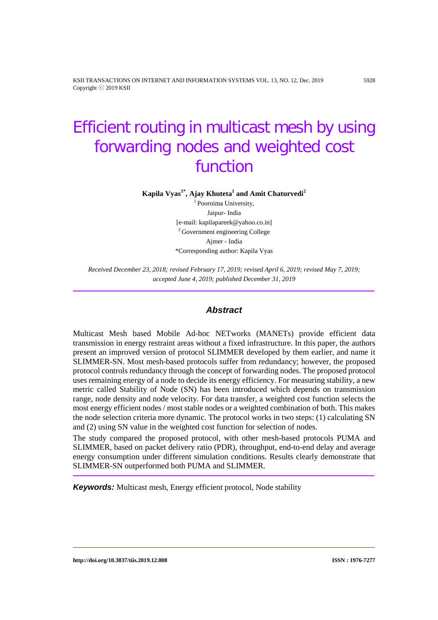KSII TRANSACTIONS ON INTERNET AND INFORMATION SYSTEMS VOL. 13, NO. 12, Dec. 2019 5928 Copyright ⓒ 2019 KSII

# Efficient routing in multicast mesh by using forwarding nodes and weighted cost function

**Kapila Vyas1\* , Ajay Khuteta1 and Amit Chaturvedi<sup>2</sup>**

<sup>1</sup> Poornima University, Jaipur- India [e-mail: kapilapareek@yahoo.co.in] <sup>2</sup> Government engineering College Ajmer - India \*Corresponding author: Kapila Vyas

*Received December 23, 2018; revised February 17, 2019; revised April 6, 2019; revised May 7, 2019; accepted June 4, 2019; published December 31, 2019*

## *Abstract*

Multicast Mesh based Mobile Ad-hoc NETworks (MANETs) provide efficient data transmission in energy restraint areas without a fixed infrastructure. In this paper, the authors present an improved version of protocol SLIMMER developed by them earlier, and name it SLIMMER-SN. Most mesh-based protocols suffer from redundancy; however, the proposed protocol controls redundancy through the concept of forwarding nodes. The proposed protocol uses remaining energy of a node to decide its energy efficiency. For measuring stability, a new metric called Stability of Node (SN) has been introduced which depends on transmission range, node density and node velocity. For data transfer, a weighted cost function selects the most energy efficient nodes / most stable nodes or a weighted combination of both. This makes the node selection criteria more dynamic. The protocol works in two steps: (1) calculating SN and (2) using SN value in the weighted cost function for selection of nodes.

The study compared the proposed protocol, with other mesh-based protocols PUMA and SLIMMER, based on packet delivery ratio (PDR), throughput, end-to-end delay and average energy consumption under different simulation conditions. Results clearly demonstrate that SLIMMER-SN outperformed both PUMA and SLIMMER.

*Keywords:* Multicast mesh, Energy efficient protocol, Node stability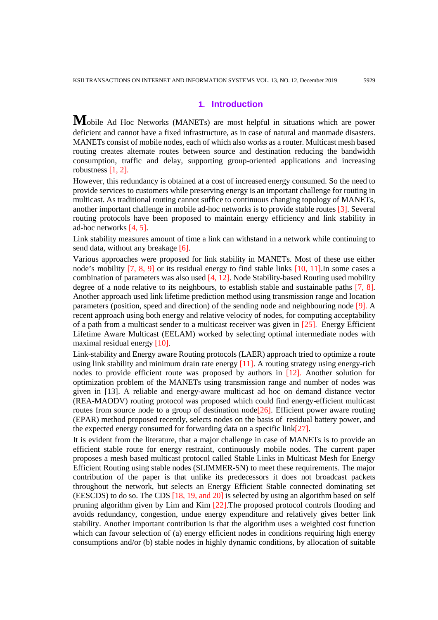# **1. Introduction**

**M**obile Ad Hoc Networks (MANETs) are most helpful in situations which are power deficient and cannot have a fixed infrastructure, as in case of natural and manmade disasters. MANETs consist of mobile nodes, each of which also works as a router. Multicast mesh based routing creates alternate routes between source and destination reducing the bandwidth consumption, traffic and delay, supporting group-oriented applications and increasing robustness [1, 2].

However, this redundancy is obtained at a cost of increased energy consumed. So the need to provide services to customers while preserving energy is an important challenge for routing in multicast. As traditional routing cannot suffice to continuous changing topology of MANETs, another important challenge in mobile ad-hoc networks is to provide stable routes [3]. Several routing protocols have been proposed to maintain energy efficiency and link stability in ad-hoc networks [4, 5].

Link stability measures amount of time a link can withstand in a network while continuing to send data, without any breakage [6].

Various approaches were proposed for link stability in MANETs. Most of these use either node's mobility [7, 8, 9] or its residual energy to find stable links [10, 11]. In some cases a combination of parameters was also used [4, 12]. Node Stability-based Routing used mobility degree of a node relative to its neighbours, to establish stable and sustainable paths [7, 8]. Another approach used link lifetime prediction method using transmission range and location parameters (position, speed and direction) of the sending node and neighbouring node [9]. A recent approach using both energy and relative velocity of nodes, for computing acceptability of a path from a multicast sender to a multicast receiver was given in [25]. Energy Efficient Lifetime Aware Multicast (EELAM) worked by selecting optimal intermediate nodes with maximal residual energy [10].

Link-stability and Energy aware Routing protocols (LAER) approach tried to optimize a route using link stability and minimum drain rate energy  $[11]$ . A routing strategy using energy-rich nodes to provide efficient route was proposed by authors in [12]. Another solution for optimization problem of the MANETs using transmission range and number of nodes was given in [13]. A reliable and energy-aware multicast ad hoc on demand distance vector (REA-MAODV) routing protocol was proposed which could find energy-efficient multicast routes from source node to a group of destination node  $[26]$ . Efficient power aware routing (EPAR) method proposed recently, selects nodes on the basis of residual battery power, and the expected energy consumed for forwarding data on a specific link $[27]$ .

It is evident from the literature, that a major challenge in case of MANETs is to provide an efficient stable route for energy restraint, continuously mobile nodes. The current paper proposes a mesh based multicast protocol called Stable Links in Multicast Mesh for Energy Efficient Routing using stable nodes (SLIMMER-SN) to meet these requirements. The major contribution of the paper is that unlike its predecessors it does not broadcast packets throughout the network, but selects an Energy Efficient Stable connected dominating set (EESCDS) to do so. The CDS [18, 19, and 20] is selected by using an algorithm based on self pruning algorithm given by Lim and Kim [22].The proposed protocol controls flooding and avoids redundancy, congestion, undue energy expenditure and relatively gives better link stability. Another important contribution is that the algorithm uses a weighted cost function which can favour selection of (a) energy efficient nodes in conditions requiring high energy consumptions and/or (b) stable nodes in highly dynamic conditions, by allocation of suitable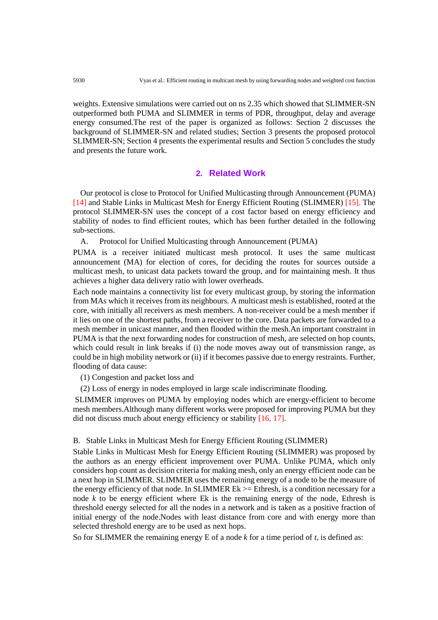weights. Extensive simulations were carried out on ns 2.35 which showed that SLIMMER-SN outperformed both PUMA and SLIMMER in terms of PDR, throughput, delay and average energy consumed.The rest of the paper is organized as follows: Section 2 discusses the background of SLIMMER-SN and related studies; Section 3 presents the proposed protocol SLIMMER-SN; Section 4 presents the experimental results and Section 5 concludes the study and presents the future work.

# **2. Related Work**

Our protocol is close to Protocol for Unified Multicasting through Announcement (PUMA) [14] and Stable Links in Multicast Mesh for Energy Efficient Routing (SLIMMER) [15]. The protocol SLIMMER-SN uses the concept of a cost factor based on energy efficiency and stability of nodes to find efficient routes, which has been further detailed in the following sub-sections.

A. Protocol for Unified Multicasting through Announcement (PUMA)

PUMA is a receiver initiated multicast mesh protocol. It uses the same multicast announcement (MA) for election of cores, for deciding the routes for sources outside a multicast mesh, to unicast data packets toward the group, and for maintaining mesh. It thus achieves a higher data delivery ratio with lower overheads.

Each node maintains a connectivity list for every multicast group, by storing the information from MAs which it receives from its neighbours. A multicast mesh is established, rooted at the core, with initially all receivers as mesh members. A non-receiver could be a mesh member if it lies on one of the shortest paths, from a receiver to the core. Data packets are forwarded to a mesh member in unicast manner, and then flooded within the mesh.An important constraint in PUMA is that the next forwarding nodes for construction of mesh, are selected on hop counts, which could result in link breaks if (i) the node moves away out of transmission range, as could be in high mobility network or (ii) if it becomes passive due to energy restraints. Further, flooding of data cause:

(1) Congestion and packet loss and

(2) Loss of energy in nodes employed in large scale indiscriminate flooding.

SLIMMER improves on PUMA by employing nodes which are energy-efficient to become mesh members.Although many different works were proposed for improving PUMA but they did not discuss much about energy efficiency or stability [16, 17].

## B. Stable Links in Multicast Mesh for Energy Efficient Routing (SLIMMER)

Stable Links in Multicast Mesh for Energy Efficient Routing (SLIMMER) was proposed by the authors as an energy efficient improvement over PUMA. Unlike PUMA, which only considers hop count as decision criteria for making mesh, only an energy efficient node can be a next hop in SLIMMER. SLIMMER uses the remaining energy of a node to be the measure of the energy efficiency of that node. In SLIMMER  $Ek \geq$  Ethresh, is a condition necessary for a node *k* to be energy efficient where Ek is the remaining energy of the node, Ethresh is threshold energy selected for all the nodes in a network and is taken as a positive fraction of initial energy of the node.Nodes with least distance from core and with energy more than selected threshold energy are to be used as next hops.

So for SLIMMER the remaining energy E of a node *k* for a time period of *t,* is defined as: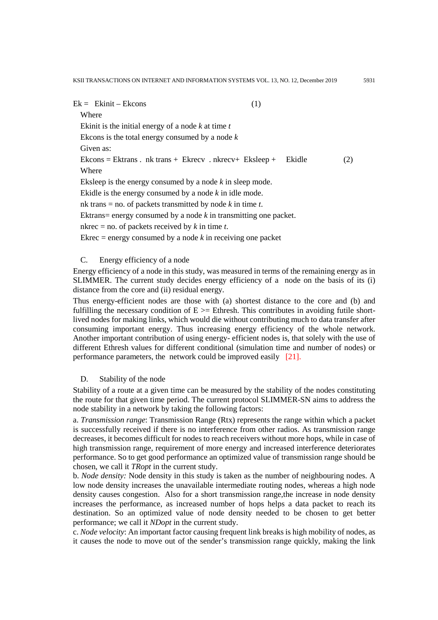KSII TRANSACTIONS ON INTERNET AND INFORMATION SYSTEMS VOL. 13, NO. 12, December 2019 5931

 $Ek = Ekinit - Ekcons$  (1)

Where Ekinit is the initial energy of a node *k* at time *t* Ekcons is the total energy consumed by a node *k* Given as:  $Ekcons = Ekrans$ . nk trans +  $Ekrecv$ . nkrecv+  $Eksleep +$   $Ekidle$  (2) Where Eksleep is the energy consumed by a node *k* in sleep mode. Ekidle is the energy consumed by a node *k* in idle mode. nk trans = no. of packets transmitted by node *k* in time *t*. Ektrans= energy consumed by a node *k* in transmitting one packet. nkrec = no. of packets received by *k* in time *t*. Ekrec  $=$  energy consumed by a node  $k$  in receiving one packet

## C. Energy efficiency of a node

Energy efficiency of a node in this study, was measured in terms of the remaining energy as in SLIMMER. The current study decides energy efficiency of a node on the basis of its (i) distance from the core and (ii) residual energy.

Thus energy-efficient nodes are those with (a) shortest distance to the core and (b) and fulfilling the necessary condition of  $E \geq E$  Ethresh. This contributes in avoiding futile shortlived nodes for making links, which would die without contributing much to data transfer after consuming important energy. Thus increasing energy efficiency of the whole network. Another important contribution of using energy- efficient nodes is, that solely with the use of different Ethresh values for different conditional (simulation time and number of nodes) or performance parameters, the network could be improved easily [21].

## D. Stability of the node

Stability of a route at a given time can be measured by the stability of the nodes constituting the route for that given time period. The current protocol SLIMMER-SN aims to address the node stability in a network by taking the following factors:

a. *Transmission range*: Transmission Range (Rtx) represents the range within which a packet is successfully received if there is no interference from other radios. As transmission range decreases, it becomes difficult for nodes to reach receivers without more hops, while in case of high transmission range, requirement of more energy and increased interference deteriorates performance. So to get good performance an optimized value of transmission range should be chosen, we call it *TRopt* in the current study.

b. *Node density:* Node density in this study is taken as the number of neighbouring nodes. A low node density increases the unavailable intermediate routing nodes, whereas a high node density causes congestion. Also for a short transmission range,the increase in node density increases the performance, as increased number of hops helps a data packet to reach its destination. So an optimized value of node density needed to be chosen to get better performance; we call it *NDopt* in the current study.

c. *Node velocity*: An important factor causing frequent link breaks is high mobility of nodes, as it causes the node to move out of the sender's transmission range quickly, making the link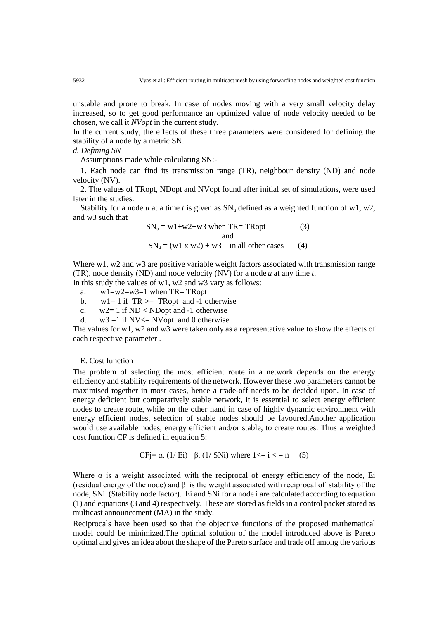unstable and prone to break. In case of nodes moving with a very small velocity delay increased, so to get good performance an optimized value of node velocity needed to be chosen, we call it *NVopt* in the current study.

In the current study, the effects of these three parameters were considered for defining the stability of a node by a metric SN.

*d. Defining SN*

Assumptions made while calculating SN:-

1**.** Each node can find its transmission range (TR), neighbour density (ND) and node velocity (NV).

2. The values of TRopt, NDopt and NVopt found after initial set of simulations, were used later in the studies.

Stability for a node *u* at a time *t* is given as  $SN_u$  defined as a weighted function of w1, w2, and w3 such that

$$
SN_u = w1 + w2 + w3 \text{ when } TR = TRopt
$$
 (3)  
and  

$$
SN_u = (w1 x w2) + w3 \text{ in all other cases}
$$
 (4)

Where w1, w2 and w3 are positive variable weight factors associated with transmission range (TR), node density (ND) and node velocity (NV) for a node *u* at any time *t*.

In this study the values of w1, w2 and w3 vary as follows:

a. w1=w2=w3=1 when TR= TRopt

b.  $w1 = 1$  if  $TR \geq T$ Ropt and -1 otherwise

c.  $w2=1$  if ND < NDopt and -1 otherwise

d.  $w3 = 1$  if NV $\leq$  NVopt and 0 otherwise

The values for w1, w2 and w3 were taken only as a representative value to show the effects of each respective parameter .

## E. Cost function

The problem of selecting the most efficient route in a network depends on the energy efficiency and stability requirements of the network. However these two parameters cannot be maximised together in most cases, hence a trade-off needs to be decided upon. In case of energy deficient but comparatively stable network, it is essential to select energy efficient nodes to create route, while on the other hand in case of highly dynamic environment with energy efficient nodes, selection of stable nodes should be favoured.Another application would use available nodes, energy efficient and/or stable, to create routes. Thus a weighted cost function CF is defined in equation 5:

$$
CFj = \alpha. (1/Ei) + \beta. (1/SNi) \text{ where } 1 \le i \le n \quad (5)
$$

Where  $\alpha$  is a weight associated with the reciprocal of energy efficiency of the node, Ei (residual energy of the node) and β is the weight associated with reciprocal of stability of the node, SNi (Stability node factor). Ei and SNi for a node i are calculated according to equation (1) and equations (3 and 4) respectively. These are stored as fields in a control packet stored as multicast announcement (MA) in the study.

Reciprocals have been used so that the objective functions of the proposed mathematical model could be minimized.The optimal solution of the model introduced above is Pareto optimal and gives an idea about the shape of the Pareto surface and trade off among the various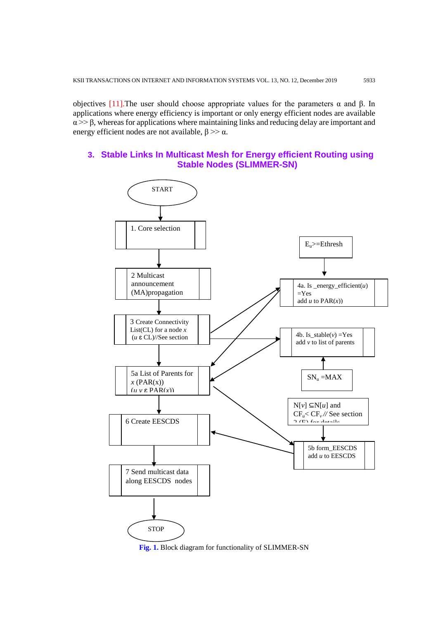objectives [11]. The user should choose appropriate values for the parameters  $\alpha$  and β. In applications where energy efficiency is important or only energy efficient nodes are available  $\alpha$  >>  $\beta$ , whereas for applications where maintaining links and reducing delay are important and energy efficient nodes are not available,  $\beta \gg \alpha$ .

# **3. Stable Links In Multicast Mesh for Energy efficient Routing using Stable Nodes (SLIMMER-SN)**



**Fig. 1.** Block diagram for functionality of SLIMMER-SN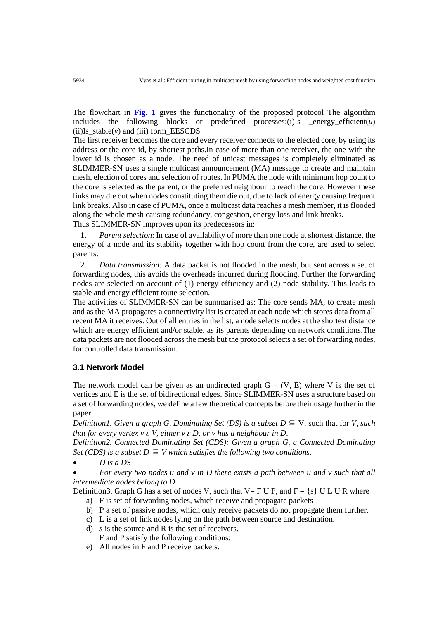The flowchart in **Fig. 1** gives the functionality of the proposed protocol The algorithm includes the following blocks or predefined processes: $(i)$ Is energy efficient $(u)$  $(ii)$ Is stable $(v)$  and  $(iii)$  form EESCDS

The first receiver becomes the core and every receiver connects to the elected core, by using its address or the core id, by shortest paths.In case of more than one receiver, the one with the lower id is chosen as a node. The need of unicast messages is completely eliminated as SLIMMER-SN uses a single multicast announcement (MA) message to create and maintain mesh, election of cores and selection of routes. In PUMA the node with minimum hop count to the core is selected as the parent, or the preferred neighbour to reach the core. However these links may die out when nodes constituting them die out, due to lack of energy causing frequent link breaks. Also in case of PUMA, once a multicast data reaches a mesh member, it is flooded along the whole mesh causing redundancy, congestion, energy loss and link breaks.

Thus SLIMMER-SN improves upon its predecessors in:

1. *Parent selection*: In case of availability of more than one node at shortest distance, the energy of a node and its stability together with hop count from the core, are used to select parents.

2. *Data transmission:* A data packet is not flooded in the mesh, but sent across a set of forwarding nodes, this avoids the overheads incurred during flooding. Further the forwarding nodes are selected on account of (1) energy efficiency and (2) node stability. This leads to stable and energy efficient route selection.

The activities of SLIMMER-SN can be summarised as: The core sends MA, to create mesh and as the MA propagates a connectivity list is created at each node which stores data from all recent MA it receives. Out of all entries in the list, a node selects nodes at the shortest distance which are energy efficient and/or stable, as its parents depending on network conditions. The data packets are not flooded across the mesh but the protocol selects a set of forwarding nodes, for controlled data transmission.

# **3.1 Network Model**

The network model can be given as an undirected graph  $G = (V, E)$  where V is the set of vertices and E is the set of bidirectional edges. Since SLIMMER-SN uses a structure based on a set of forwarding nodes, we define a few theoretical concepts before their usage further in the paper.

*Definition1. Given a graph G, Dominating Set (DS) is a subset*  $D \subseteq V$ *, such that for V, such that for every vertex v*  $\epsilon$  *V, either v*  $\epsilon$  *D, or v has a neighbour in D.* 

*Definition2. Connected Dominating Set (CDS): Given a graph G, a Connected Dominating Set (CDS) is a subset D*  $\subseteq$  *V which satisfies the following two conditions.* 

• *D is a DS*

• *For every two nodes u and v in D there exists a path between u and v such that all intermediate nodes belong to D*

Definition3. Graph G has a set of nodes V, such that  $V = FU P$ , and  $F = \{s\} U L U R$  where

- a) F is set of forwarding nodes, which receive and propagate packets
- b) P a set of passive nodes, which only receive packets do not propagate them further.
- c) L is a set of link nodes lying on the path between source and destination.
- d) *s* is the source and R is the set of receivers. F and P satisfy the following conditions:
- e) All nodes in F and P receive packets.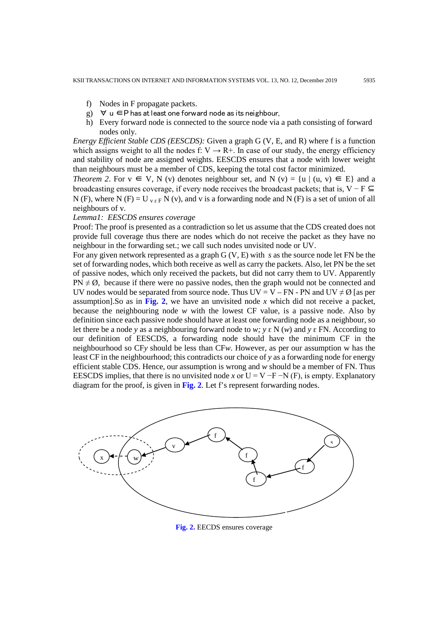- f) Nodes in F propagate packets.
- g)  $∀ u ∈ P$  has at least one forward node as its neighbour,
- h) Every forward node is connected to the source node via a path consisting of forward nodes only.

*Energy Efficient Stable CDS (EESCDS):* Given a graph G (V, E, and R) where f is a function which assigns weight to all the nodes f:  $V \rightarrow R+$ . In case of our study, the energy efficiency and stability of node are assigned weights. EESCDS ensures that a node with lower weight than neighbours must be a member of CDS, keeping the total cost factor minimized.

*Theorem 2*. For  $v \in V$ , N (v) denotes neighbour set, and N (v) = {u | (u, v)  $\in$  E} and a broadcasting ensures coverage, if every node receives the broadcast packets; that is,  $V - F \subseteq$ N (F), where N (F) = U  $_{V \& F}$  N (v), and v is a forwarding node and N (F) is a set of union of all neighbours of v.

#### *Lemma1: EESCDS ensures coverage*

Proof: The proof is presented as a contradiction so let us assume that the CDS created does not provide full coverage thus there are nodes which do not receive the packet as they have no neighbour in the forwarding set.; we call such nodes unvisited node or UV.

For any given network represented as a graph G (V, E) with *s* as the source node let FN be the set of forwarding nodes, which both receive as well as carry the packets. Also, let PN be the set of passive nodes, which only received the packets, but did not carry them to UV. Apparently  $PN \neq \emptyset$ , because if there were no passive nodes, then the graph would not be connected and UV nodes would be separated from source node. Thus UV = V – FN - PN and UV  $\neq \emptyset$  [as per assumption]. So as in Fig. 2, we have an unvisited node  $x$  which did not receive a packet, because the neighbouring node *w* with the lowest CF value, is a passive node. Also by definition since each passive node should have at least one forwarding node as a neighbour, so let there be a node *y* as a neighbouring forward node to *w*; *y*  $\epsilon$  N (*w*) and *y*  $\epsilon$  FN. According to our definition of EESCDS, a forwarding node should have the minimum CF in the neighbourhood so CF*y* should be less than CF*w*. However, as per our assumption w has the least CF in the neighbourhood; this contradicts our choice of *y* as a forwarding node for energy efficient stable CDS. Hence, our assumption is wrong and *w* should be a member of FN. Thus EESCDS implies, that there is no unvisited node *x* or  $U = V - F - N(F)$ , is empty. Explanatory diagram for the proof, is given in **Fig. 2**. Let f's represent forwarding nodes.



**Fig. 2.** EECDS ensures coverage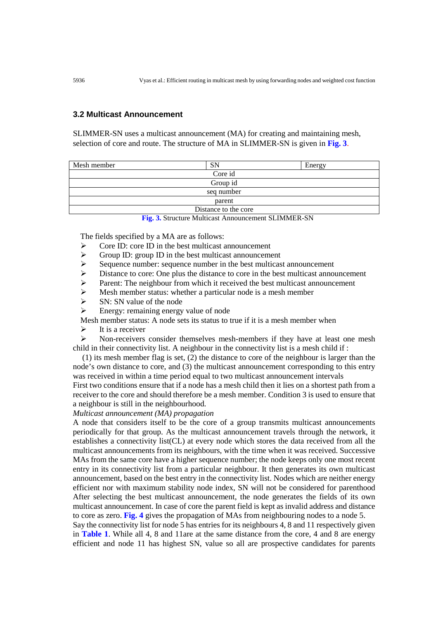## **3.2 Multicast Announcement**

SLIMMER-SN uses a multicast announcement (MA) for creating and maintaining mesh, selection of core and route. The structure of MA in SLIMMER-SN is given in **Fig. 3**.

| Mesh member          | <b>SN</b> | Energy |  |
|----------------------|-----------|--------|--|
| Core id              |           |        |  |
| Group id             |           |        |  |
| seq number           |           |        |  |
| parent               |           |        |  |
| Distance to the core |           |        |  |
|                      |           |        |  |

**Fig. 3.** Structure Multicast Announcement SLIMMER-SN

The fields specified by a MA are as follows:

- $\geq$  Core ID: core ID in the best multicast announcement<br>  $\geq$  Group ID: group ID in the best multicast announcement
- $\triangleright$  Group ID: group ID in the best multicast announcement<br> $\triangleright$  Sequence number: sequence number in the best multicas
- 
- $\geq$  Sequence number: sequence number in the best multicast announcement  $\geq$  Distance to core: One plus the distance to core in the best multicast announcement  $\triangleright$  Distance to core: One plus the distance to core in the best multicast announcement  $\triangleright$  Parent: The neighbour from which it received the best multicast announcement
- Parent: The neighbour from which it received the best multicast announcement<br>  $\triangleright$  Mesh member status: whether a particular node is a mesh member
- $\geq$  Mesh member status: whether a particular node is a mesh member<br> $\geq$  SN: SN value of the node
- $\triangleright$  SN: SN value of the node<br> $\triangleright$  Energy: remaining energy
- Energy: remaining energy value of node
- Mesh member status: A node sets its status to true if it is a mesh member when
- $\triangleright$  It is a receiver

 Non-receivers consider themselves mesh-members if they have at least one mesh child in their connectivity list. A neighbour in the connectivity list is a mesh child if :

(1) its mesh member flag is set, (2) the distance to core of the neighbour is larger than the node's own distance to core, and (3) the multicast announcement corresponding to this entry was received in within a time period equal to two multicast announcement intervals First two conditions ensure that if a node has a mesh child then it lies on a shortest path from a receiver to the core and should therefore be a mesh member. Condition 3 is used to ensure that

## a neighbour is still in the neighbourhood. *Multicast announcement (MA) propagation*

A node that considers itself to be the core of a group transmits multicast announcements periodically for that group. As the multicast announcement travels through the network, it establishes a connectivity list(CL) at every node which stores the data received from all the multicast announcements from its neighbours, with the time when it was received. Successive MAs from the same core have a higher sequence number; the node keeps only one most recent entry in its connectivity list from a particular neighbour. It then generates its own multicast announcement, based on the best entry in the connectivity list. Nodes which are neither energy efficient nor with maximum stability node index, SN will not be considered for parenthood After selecting the best multicast announcement, the node generates the fields of its own multicast announcement. In case of core the parent field is kept as invalid address and distance to core as zero. **Fig. 4** gives the propagation of MAs from neighbouring nodes to a node 5.

Say the connectivity list for node 5 has entries for its neighbours 4, 8 and 11 respectively given in **Table 1**. While all 4, 8 and 11are at the same distance from the core, 4 and 8 are energy efficient and node 11 has highest SN, value so all are prospective candidates for parents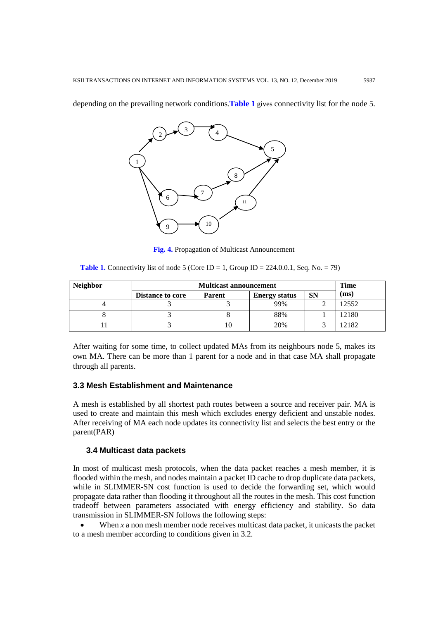depending on the prevailing network conditions.**Table 1** gives connectivity list for the node 5.



**Fig. 4.** Propagation of Multicast Announcement

**Table 1.** Connectivity list of node 5 (Core ID = 1, Group ID = 224.0.0.1, Seq. No. = 79)

| <b>Neighbor</b> | <b>Multicast announcement</b> |               |                      | Time      |       |
|-----------------|-------------------------------|---------------|----------------------|-----------|-------|
|                 | <b>Distance to core</b>       | <b>Parent</b> | <b>Energy status</b> | <b>SN</b> | (ms)  |
|                 |                               |               | 99%                  |           | 12552 |
|                 |                               |               | 88%                  |           | 12180 |
|                 |                               |               | 20%                  |           | 2182  |

After waiting for some time, to collect updated MAs from its neighbours node 5, makes its own MA. There can be more than 1 parent for a node and in that case MA shall propagate through all parents.

## **3.3 Mesh Establishment and Maintenance**

A mesh is established by all shortest path routes between a source and receiver pair. MA is used to create and maintain this mesh which excludes energy deficient and unstable nodes. After receiving of MA each node updates its connectivity list and selects the best entry or the parent(PAR)

## **3.4 Multicast data packets**

In most of multicast mesh protocols, when the data packet reaches a mesh member, it is flooded within the mesh, and nodes maintain a packet ID cache to drop duplicate data packets, while in SLIMMER-SN cost function is used to decide the forwarding set, which would propagate data rather than flooding it throughout all the routes in the mesh. This cost function tradeoff between parameters associated with energy efficiency and stability. So data transmission in SLIMMER-SN follows the following steps:

When  $x$  a non mesh member node receives multicast data packet, it unicasts the packet to a mesh member according to conditions given in 3.2.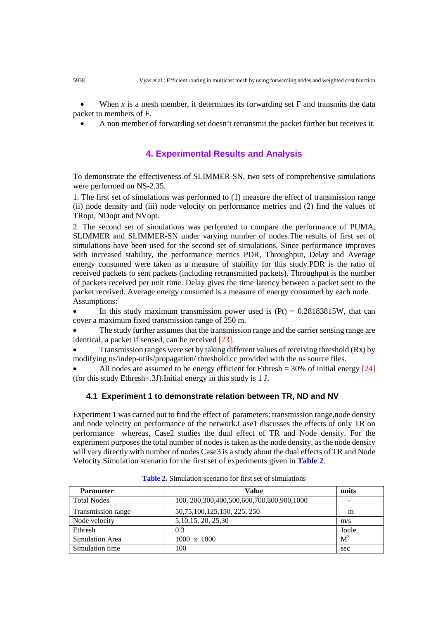When  $x$  is a mesh member, it determines its forwarding set  $F$  and transmits the data packet to members of F.

• A non member of forwarding set doesn't retransmit the packet further but receives it.

# **4. Experimental Results and Analysis**

To demonstrate the effectiveness of SLIMMER-SN, two sets of comprehensive simulations were performed on NS-2.35.

1. The first set of simulations was performed to (1) measure the effect of transmission range (ii) node density and (iii) node velocity on performance metrics and (2) find the values of TRopt, NDopt and NVopt.

2. The second set of simulations was performed to compare the performance of PUMA, SLIMMER and SLIMMER-SN under varying number of nodes.The results of first set of simulations have been used for the second set of simulations. Since performance improves with increased stability, the performance metrics PDR, Throughput, Delay and Average energy consumed were taken as a measure of stability for this study.PDR is the ratio of received packets to sent packets (including retransmitted packets). Throughput is the number of packets received per unit time. Delay gives the time latency between a packet sent to the packet received. Average energy consumed is a measure of energy consumed by each node. Assumptions:

In this study maximum transmission power used is  $(Pt) = 0.28183815W$ , that can cover a maximum fixed transmission range of 250 m.

• The study further assumes that the transmission range and the carrier sensing range are identical, a packet if sensed, can be received [23].

• Transmission ranges were set by taking different values of receiving threshold (Rx) by modifying ns/indep-utils/propagation/ threshold.cc provided with the ns source files.

All nodes are assumed to be energy efficient for Ethresh =  $30\%$  of initial energy [24] (for this study Ethresh=.3J).Initial energy in this study is 1 J.

## **4.1 Experiment 1 to demonstrate relation between TR, ND and NV**

Experiment 1 was carried out to find the effect of parameters: transmission range,node density and node velocity on performance of the network.Case1 discusses the effects of only TR on performance whereas, Case2 studies the dual effect of TR and Node density. For the experiment purposes the total number of nodes is taken as the node density, as the node density will vary directly with number of nodes Case3 is a study about the dual effects of TR and Node Velocity.Simulation scenario for the first set of experiments given in **Table 2**.

| <b>Parameter</b>   | Value                                             | units |
|--------------------|---------------------------------------------------|-------|
| <b>Total Nodes</b> | 100, 200, 300, 400, 500, 600, 700, 800, 900, 1000 | -     |
| Transmission range | 50, 75, 100, 125, 150, 225, 250                   | m     |
| Node velocity      | 5, 10, 15, 20, 25, 30                             | m/s   |
| Ethresh            | 0.3                                               | Joule |
| Simulation Area    | $1000 \times 1000$                                | $M^2$ |
| Simulation time    | 100                                               | sec   |

**Table 2.** Simulation scenario for first set of simulations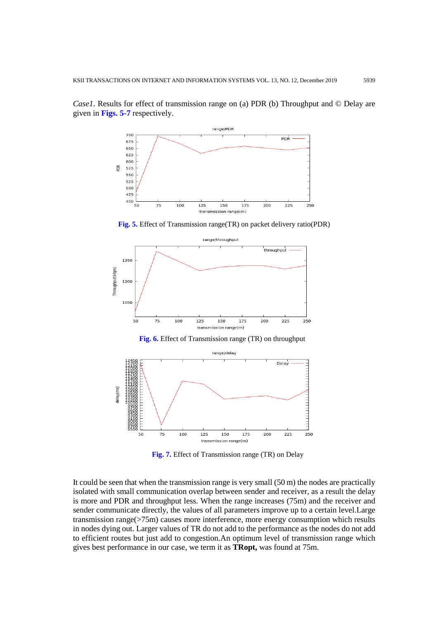*Case1*. Results for effect of transmission range on (a) PDR (b) Throughput and © Delay are given in **Figs. 5-7** respectively.



**Fig. 5.** Effect of Transmission range(TR) on packet delivery ratio(PDR)



**Fig. 7.** Effect of Transmission range (TR) on Delay

It could be seen that when the transmission range is very small (50 m) the nodes are practically isolated with small communication overlap between sender and receiver, as a result the delay is more and PDR and throughput less. When the range increases (75m) and the receiver and sender communicate directly, the values of all parameters improve up to a certain level.Large transmission range(>75m) causes more interference, more energy consumption which results in nodes dying out. Larger values of TR do not add to the performance as the nodes do not add to efficient routes but just add to congestion.An optimum level of transmission range which gives best performance in our case, we term it as **TRopt,** was found at 75m.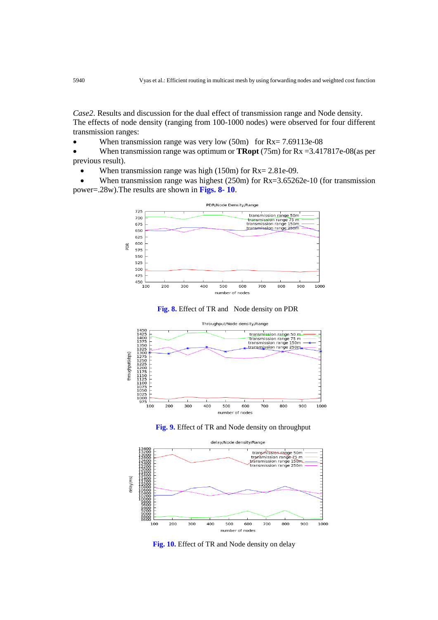*Case2*. Results and discussion for the dual effect of transmission range and Node density. The effects of node density (ranging from 100-1000 nodes) were observed for four different transmission ranges:

• When transmission range was very low (50m) for Rx= 7.69113e-08

• When transmission range was optimum or **TRopt** (75m) for Rx =3.417817e-08(as per previous result).

When transmission range was high  $(150m)$  for  $Rx = 2.81e-09$ .

When transmission range was highest (250m) for Rx=3.65262e-10 (for transmission power=.28w).The results are shown in **Figs. 8- 10**.











**Fig. 10.** Effect of TR and Node density on delay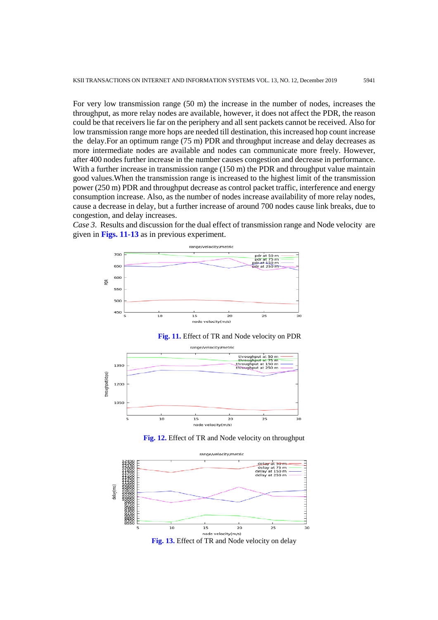For very low transmission range (50 m) the increase in the number of nodes, increases the throughput, as more relay nodes are available, however, it does not affect the PDR, the reason could be that receivers lie far on the periphery and all sent packets cannot be received. Also for low transmission range more hops are needed till destination, this increased hop count increase the delay.For an optimum range (75 m) PDR and throughput increase and delay decreases as more intermediate nodes are available and nodes can communicate more freely. However, after 400 nodes further increase in the number causes congestion and decrease in performance. With a further increase in transmission range (150 m) the PDR and throughput value maintain good values.When the transmission range is increased to the highest limit of the transmission power (250 m) PDR and throughput decrease as control packet traffic, interference and energy consumption increase. Also, as the number of nodes increase availability of more relay nodes, cause a decrease in delay, but a further increase of around 700 nodes cause link breaks, due to congestion, and delay increases.

*Case 3*. Results and discussion for the dual effect of transmission range and Node velocity are given in **Figs. 11-13** as in previous experiment.









**Fig. 12.** Effect of TR and Node velocity on throughput

**Fig. 13.** Effect of TR and Node velocity on delay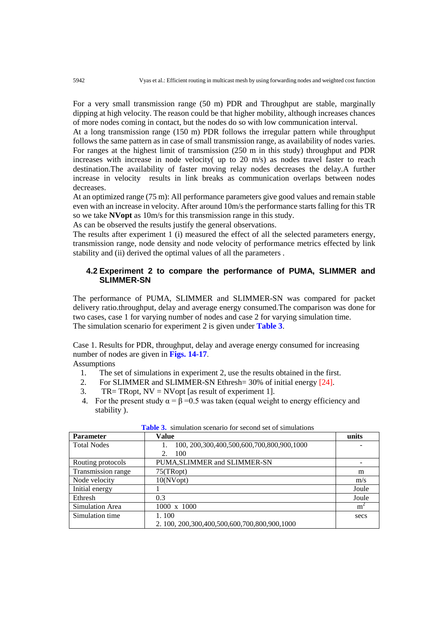For a very small transmission range (50 m) PDR and Throughput are stable, marginally dipping at high velocity. The reason could be that higher mobility, although increases chances of more nodes coming in contact, but the nodes do so with low communication interval.

At a long transmission range (150 m) PDR follows the irregular pattern while throughput follows the same pattern as in case of small transmission range, as availability of nodes varies. For ranges at the highest limit of transmission (250 m in this study) throughput and PDR increases with increase in node velocity( up to 20 m/s) as nodes travel faster to reach destination.The availability of faster moving relay nodes decreases the delay.A further increase in velocity results in link breaks as communication overlaps between nodes decreases.

At an optimized range (75 m): All performance parameters give good values and remain stable even with an increase in velocity. After around 10m/s the performance starts falling for this TR so we take **NVopt** as 10m/s for this transmission range in this study.

As can be observed the results justify the general observations.

The results after experiment 1 (i) measured the effect of all the selected parameters energy, transmission range, node density and node velocity of performance metrics effected by link stability and (ii) derived the optimal values of all the parameters .

# **4.2 Experiment 2 to compare the performance of PUMA, SLIMMER and SLIMMER-SN**

The performance of PUMA, SLIMMER and SLIMMER-SN was compared for packet delivery ratio.throughput, delay and average energy consumed.The comparison was done for two cases, case 1 for varying number of nodes and case 2 for varying simulation time. The simulation scenario for experiment 2 is given under **Table 3**.

Case 1. Results for PDR, throughput, delay and average energy consumed for increasing number of nodes are given in **Figs. 14-17**.

Assumptions

- 1. The set of simulations in experiment 2, use the results obtained in the first.<br>2. For SLIMMER and SLIMMER-SN Ethresh= 30% of initial energy [24].
- For SLIMMER and SLIMMER-SN Ethresh= 30% of initial energy [24].
- 3. TR= TRopt,  $NV = NV$ opt [as result of experiment 1].
- 4. For the present study  $\alpha = \beta = 0.5$  was taken (equal weight to energy efficiency and stability ).

| <b>Parameter</b>   | Value                                                | units |
|--------------------|------------------------------------------------------|-------|
| <b>Total Nodes</b> | 100, 200, 300, 400, 500, 600, 700, 800, 900, 1000    |       |
|                    | 100<br>2.                                            |       |
| Routing protocols  | PUMA, SLIMMER and SLIMMER-SN                         |       |
| Transmission range | 75(TRopt)                                            | m     |
| Node velocity      | 10(NVopt)                                            | m/s   |
| Initial energy     |                                                      | Joule |
| Ethresh            | 0.3                                                  | Joule |
| Simulation Area    | 1000 x 1000                                          | $m^2$ |
| Simulation time    | 1.100                                                | secs  |
|                    | 2. 100, 200, 300, 400, 500, 600, 700, 800, 900, 1000 |       |

| <b>Table 3.</b> simulation scenario for second set of simulations |  |
|-------------------------------------------------------------------|--|
|-------------------------------------------------------------------|--|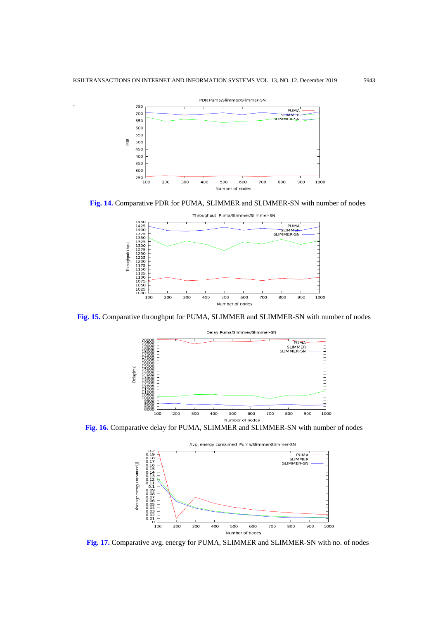.



**Fig. 14.** Comparative PDR for PUMA, SLIMMER and SLIMMER-SN with number of nodes



**Fig. 15.** Comparative throughput for PUMA, SLIMMER and SLIMMER-SN with number of nodes



**Fig. 16.** Comparative delay for PUMA, SLIMMER and SLIMMER-SN with number of nodes



**Fig. 17.** Comparative avg. energy for PUMA, SLIMMER and SLIMMER-SN with no. of nodes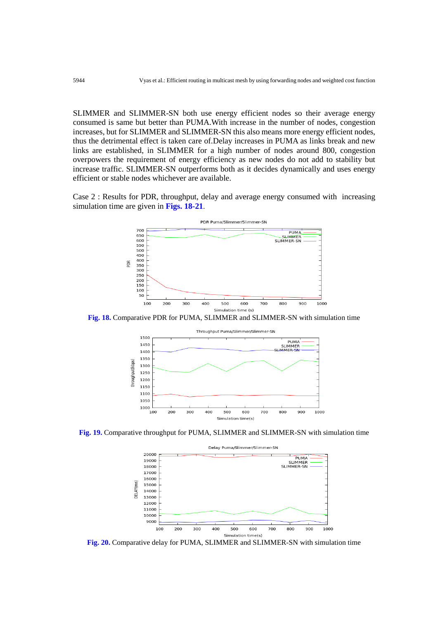SLIMMER and SLIMMER-SN both use energy efficient nodes so their average energy consumed is same but better than PUMA.With increase in the number of nodes, congestion increases, but for SLIMMER and SLIMMER-SN this also means more energy efficient nodes, thus the detrimental effect is taken care of.Delay increases in PUMA as links break and new links are established, in SLIMMER for a high number of nodes around 800, congestion overpowers the requirement of energy efficiency as new nodes do not add to stability but increase traffic. SLIMMER-SN outperforms both as it decides dynamically and uses energy efficient or stable nodes whichever are available.

Case 2 : Results for PDR, throughput, delay and average energy consumed with increasing simulation time are given in **Figs. 18-21**.



**Fig. 18.** Comparative PDR for PUMA, SLIMMER and SLIMMER-SN with simulation time



**Fig. 19.** Comparative throughput for PUMA, SLIMMER and SLIMMER-SN with simulation time



**Fig. 20.** Comparative delay for PUMA, SLIMMER and SLIMMER-SN with simulation time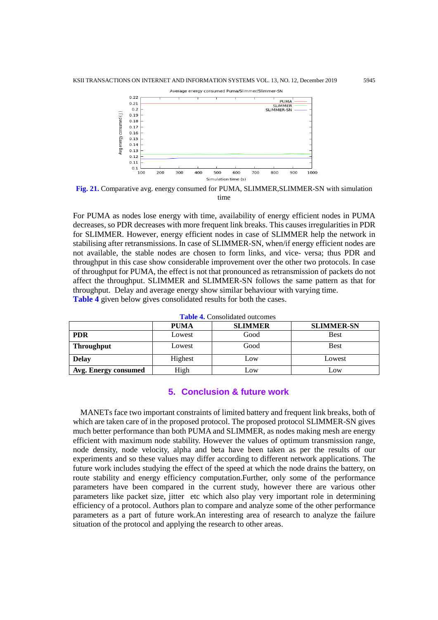

**Fig. 21.** Comparative avg. energy consumed for PUMA, SLIMMER,SLIMMER-SN with simulation time

For PUMA as nodes lose energy with time, availability of energy efficient nodes in PUMA decreases, so PDR decreases with more frequent link breaks. This causes irregularities in PDR for SLIMMER. However, energy efficient nodes in case of SLIMMER help the network in stabilising after retransmissions. In case of SLIMMER-SN, when/if energy efficient nodes are not available, the stable nodes are chosen to form links, and vice- versa; thus PDR and throughput in this case show considerable improvement over the other two protocols. In case of throughput for PUMA, the effect is not that pronounced as retransmission of packets do not affect the throughput. SLIMMER and SLIMMER-SN follows the same pattern as that for throughput. Delay and average energy show similar behaviour with varying time. **Table 4** given below gives consolidated results for both the cases.

| <b>Turic To Consonance outcomes</b> |             |                |                   |
|-------------------------------------|-------------|----------------|-------------------|
|                                     | <b>PUMA</b> | <b>SLIMMER</b> | <b>SLIMMER-SN</b> |
| <b>PDR</b>                          | Lowest      | Good           | <b>Best</b>       |
| <b>Throughput</b>                   | Lowest      | Good           | <b>Best</b>       |
| <b>Delay</b>                        | Highest     | Low            | Lowest            |
| Avg. Energy consumed                | High        | Low            | Low               |

**Table 4.** Consolidated outcomes

# **5. Conclusion & future work**

MANETs face two important constraints of limited battery and frequent link breaks, both of which are taken care of in the proposed protocol. The proposed protocol SLIMMER-SN gives much better performance than both PUMA and SLIMMER, as nodes making mesh are energy efficient with maximum node stability. However the values of optimum transmission range, node density, node velocity, alpha and beta have been taken as per the results of our experiments and so these values may differ according to different network applications. The future work includes studying the effect of the speed at which the node drains the battery, on route stability and energy efficiency computation.Further, only some of the performance parameters have been compared in the current study, however there are various other parameters like packet size, jitter etc which also play very important role in determining efficiency of a protocol. Authors plan to compare and analyze some of the other performance parameters as a part of future work.An interesting area of research to analyze the failure situation of the protocol and applying the research to other areas.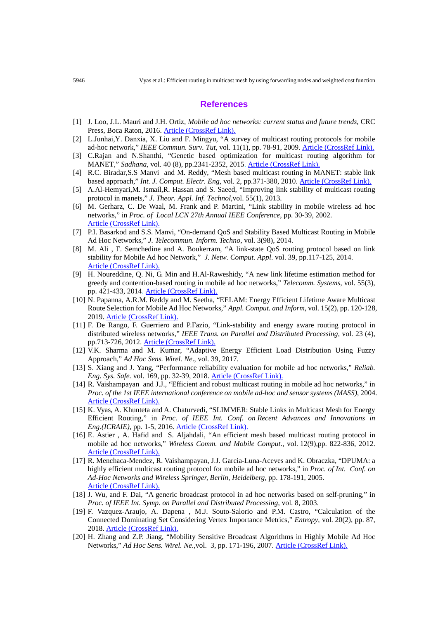## **References**

- [1] J. Loo, J.L. Mauri and J.H. Ortiz, *Mobile ad hoc networks: current status and future trends*, CRC Press, Boca Raton, 2016[. Article \(CrossRef Link\).](https://doi.org/10.1201/b11447)
- [2] L.Junhai,Y. Danxia, X. Liu and F. Mingyu, "A survey of multicast routing protocols for mobile ad-hoc network," *IEEE Commun. Surv. Tut*, vol. 11(1), pp. 78-91, 2009. [Article \(CrossRef Link\).](https://doi.org/10.1109/surv.2009.090107)
- [3] C.Rajan and N.Shanthi, "Genetic based optimization for multicast routing algorithm for MANET," *Sadhana*, vol. 40 (8), pp.2341-2352, 2015. [Article \(CrossRef Link\).](https://doi.org/10.1007/s12046-015-0437-8)
- [4] R.C. Biradar,S.S Manvi and M. Reddy, "Mesh based multicast routing in MANET: stable link based approach," *Int. J. Comput. Electr. Eng*, vol. 2, pp.371-380, 2010. [Article \(CrossRef Link\).](https://doi.org/10.7763/ijcee.2010.v2.164)
- [5] A.Al-Hemyari,M. Ismail,R. Hassan and S. Saeed, "Improving link stability of multicast routing protocol in manets," *J. Theor. Appl. Inf. Technol*,vol. 55(1), 2013.
- [6] M. Gerharz, C. De Waal, M. Frank and P. Martini, "Link stability in mobile wireless ad hoc networks," in *Proc. of Local LCN 27th Annual IEEE Conference*, pp. 30-39, 2002. [Article \(CrossRef Link\).](https://doi.org/10.1109/lcn.2002.1181761)
- [7] P.I. Basarkod and S.S. Manvi, "On-demand QoS and Stability Based Multicast Routing in Mobile Ad Hoc Networks," *J. Telecommun. Inform. Techno*, vol. 3(98), 2014.
- [8] M. Ali , F. Semchedine and A. Boukerram, "A link-state QoS routing protocol based on link stability for Mobile Ad hoc Network," *J. Netw. Comput. Appl*. vol. 39, pp.117-125, 2014. [Article \(CrossRef Link\).](https://doi.org/10.1016/j.jnca.2013.05.014)
- [9] H. Noureddine, Q. Ni, G. Min and H.Al-Raweshidy, "A new link lifetime estimation method for greedy and contention-based routing in mobile ad hoc networks," *Telecomm. Systems*, vol. 55(3), pp. 421-433, 2014. [Article \(CrossRef Link\).](https://doi.org/10.1007/s11235-013-9796-9)
- [10] N. Papanna, A.R.M. Reddy and M. Seetha, "EELAM: Energy Efficient Lifetime Aware Multicast Route Selection for Mobile Ad Hoc Networks," *Appl. Comput. and Inform*, vol. 15(2), pp. 120-128, 2019[. Article \(CrossRef Link\).](https://doi.org/10.1016/j.aci.2017.12.003)
- [11] F. De Rango, F. Guerriero and P.Fazio, "Link-stability and energy aware routing protocol in distributed wireless networks," *IEEE Trans. on Parallel and Distributed Processing*, vol. 23 (4), pp.713-726, 2012. [Article \(CrossRef Link\).](https://doi.org/10.1109/tpds.2010.160)
- [12] V.K. Sharma and M. Kumar, "Adaptive Energy Efficient Load Distribution Using Fuzzy Approach," *Ad Hoc Sens. Wirel. Ne*., vol. 39, 2017.
- [13] S. Xiang and J. Yang, "Performance reliability evaluation for mobile ad hoc networks," *Reliab. Eng. Sys. Safe.* vol. 169, pp. 32-39, 2018. [Article \(CrossRef Link\).](https://doi.org/10.1016/j.ress.2017.08.001)
- [14] R. Vaishampayan and J.J., "Efficient and robust multicast routing in mobile ad hoc networks," in *Proc. of the 1st IEEE international conference on mobile ad-hoc and sensor systems (MASS)*, 2004. [Article \(CrossRef Link\).](https://doi.org/10.1109/mahss.2004.1392169)
- [15] K. Vyas, A. Khunteta and A. Chaturvedi, "SLIMMER: Stable Links in Multicast Mesh for Energy Efficient Routing," in *Proc. of IEEE Int. Conf. on Recent Advances and Innovations in Eng.(ICRAIE),* pp. 1-5, 2016. [Article \(CrossRef Link\).](https://doi.org/10.1109/icraie.2016.7939495)
- [16] E. Astier , A. Hafid and S. Aljahdali, "An efficient mesh based multicast routing protocol in mobile ad hoc networks," *Wireless Comm. and Mobile Comput*., vol. 12(9),pp. 822-836, 2012. [Article \(CrossRef Link\).](https://doi.org/10.1002/wcm.1016)
- [17] R. Menchaca-Mendez, R. Vaishampayan, J.J. Garcia-Luna-Aceves and K. Obraczka, "DPUMA: a highly efficient multicast routing protocol for mobile ad hoc networks," in *Proc. of Int. Conf. on Ad-Hoc Networks and Wireless Springer, Berlin, Heidelberg*, pp. 178-191, 2005. [Article \(CrossRef Link\).](https://doi.org/10.1007/11561354_16)
- [18] J. Wu, and F. Dai, "A generic broadcast protocol in ad hoc networks based on self-pruning," in *Proc. of IEEE Int. Symp. on Parallel and Distributed Processing*, vol. 8, 2003.
- [19] F. Vazquez-Araujo, A. Dapena , M.J. Souto-Salorio and P.M. Castro, "Calculation of the Connected Dominating Set Considering Vertex Importance Metrics," *Entropy*, vol. 20(2), pp. 87, 2018. [Article \(CrossRef Link\).](https://doi.org/10.3390/e20020087)
- [20] H. Zhang and Z.P. Jiang, "Mobility Sensitive Broadcast Algorithms in Highly Mobile Ad Hoc Networks," *Ad Hoc Sens. Wirel. Ne*.,vol. 3, pp. 171-196, 2007. [Article \(CrossRef Link\).](https://web.a.ebscohost.com/abstract?direct=true&profile=ehost&scope=site&authtype=crawler&jrnl=15519899&AN=26187431&h=rq3n%2fFBvtDkQH3bHiQIjRzXexVEhE9%2fOp1%2bfJAcPpk7t9aOXFR2Hi4OaR5HKj1vZ%2b4HT8FTAF7O2PSrBwLrJjA%3d%3d&crl=c&resultNs=AdminWebAuth&resultLocal=ErrCrlNotAuth&crlhashurl=login.aspx%3fdirect%3dtrue%26profile%3dehost%26scope%3dsite%26authtype%3dcrawler%26jrnl%3d15519899%26AN%3d26187431)